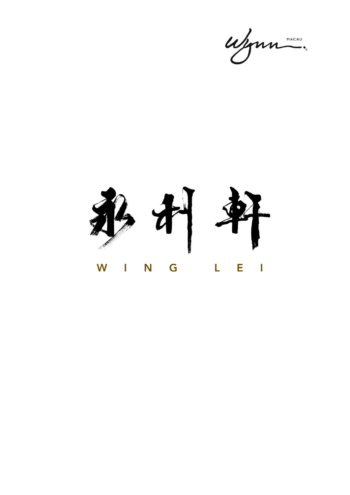ujour "

第五年 W I N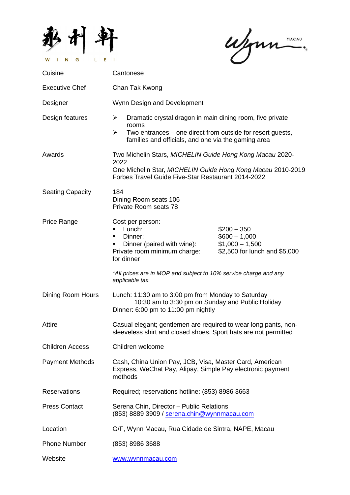

ufonne.

| Cuisine                 | Cantonese                                                                                                                                                                                                     |
|-------------------------|---------------------------------------------------------------------------------------------------------------------------------------------------------------------------------------------------------------|
| <b>Executive Chef</b>   | Chan Tak Kwong                                                                                                                                                                                                |
| Designer                | Wynn Design and Development                                                                                                                                                                                   |
| Design features         | Dramatic crystal dragon in main dining room, five private<br>➤<br>rooms<br>➤<br>Two entrances – one direct from outside for resort guests,<br>families and officials, and one via the gaming area             |
| Awards                  | Two Michelin Stars, MICHELIN Guide Hong Kong Macau 2020-<br>2022<br>One Michelin Star, MICHELIN Guide Hong Kong Macau 2010-2019<br>Forbes Travel Guide Five-Star Restaurant 2014-2022                         |
| <b>Seating Capacity</b> | 184<br>Dining Room seats 106<br>Private Room seats 78                                                                                                                                                         |
| Price Range             | Cost per person:<br>Lunch:<br>$$200 - 350$<br>Dinner:<br>$$600 - 1,000$<br>п<br>Dinner (paired with wine):<br>$$1,000 - 1,500$<br>Private room minimum charge:<br>\$2,500 for lunch and \$5,000<br>for dinner |
|                         | *All prices are in MOP and subject to 10% service charge and any<br>applicable tax.                                                                                                                           |
| Dining Room Hours       | Lunch: 11:30 am to 3:00 pm from Monday to Saturday<br>10:30 am to 3:30 pm on Sunday and Public Holiday<br>Dinner: 6:00 pm to 11:00 pm nightly                                                                 |
| Attire                  | Casual elegant; gentlemen are required to wear long pants, non-<br>sleeveless shirt and closed shoes. Sport hats are not permitted                                                                            |
| <b>Children Access</b>  | Children welcome                                                                                                                                                                                              |
| <b>Payment Methods</b>  | Cash, China Union Pay, JCB, Visa, Master Card, American<br>Express, WeChat Pay, Alipay, Simple Pay electronic payment<br>methods                                                                              |
| <b>Reservations</b>     | Required; reservations hotline: (853) 8986 3663                                                                                                                                                               |
| <b>Press Contact</b>    | Serena Chin, Director - Public Relations<br>(853) 8889 3909 / serena.chin@wynnmacau.com                                                                                                                       |
| Location                | G/F, Wynn Macau, Rua Cidade de Sintra, NAPE, Macau                                                                                                                                                            |
| <b>Phone Number</b>     | (853) 8986 3688                                                                                                                                                                                               |
| Website                 | www.wynnmacau.com                                                                                                                                                                                             |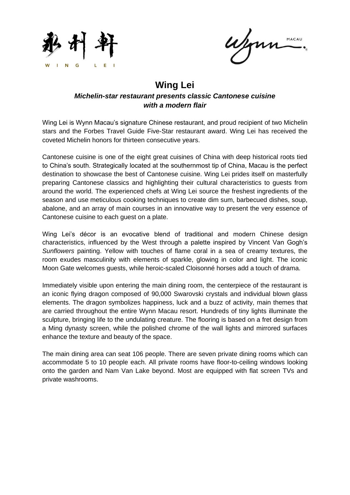

MACAU

## **Wing Lei** *Michelin-star restaurant presents classic Cantonese cuisine with a modern flair*

Wing Lei is Wynn Macau's signature Chinese restaurant, and proud recipient of two Michelin stars and the Forbes Travel Guide Five-Star restaurant award. Wing Lei has received the coveted Michelin honors for thirteen consecutive years.

Cantonese cuisine is one of the eight great cuisines of China with deep historical roots tied to China's south. Strategically located at the southernmost tip of China, Macau is the perfect destination to showcase the best of Cantonese cuisine. Wing Lei prides itself on masterfully preparing Cantonese classics and highlighting their cultural characteristics to guests from around the world. The experienced chefs at Wing Lei source the freshest ingredients of the season and use meticulous cooking techniques to create dim sum, barbecued dishes, soup, abalone, and an array of main courses in an innovative way to present the very essence of Cantonese cuisine to each guest on a plate.

Wing Lei's décor is an evocative blend of traditional and modern Chinese design characteristics, influenced by the West through a palette inspired by Vincent Van Gogh's *Sunflowers* painting. Yellow with touches of flame coral in a sea of creamy textures, the room exudes masculinity with elements of sparkle, glowing in color and light. The iconic Moon Gate welcomes guests, while heroic-scaled Cloisonné horses add a touch of drama.

Immediately visible upon entering the main dining room, the centerpiece of the restaurant is an iconic flying dragon composed of 90,000 Swarovski crystals and individual blown glass elements. The dragon symbolizes happiness, luck and a buzz of activity, main themes that are carried throughout the entire Wynn Macau resort. Hundreds of tiny lights illuminate the sculpture, bringing life to the undulating creature. The flooring is based on a fret design from a Ming dynasty screen, while the polished chrome of the wall lights and mirrored surfaces enhance the texture and beauty of the space.

The main dining area can seat 106 people. There are seven private dining rooms which can accommodate 5 to 10 people each. All private rooms have floor-to-ceiling windows looking onto the garden and Nam Van Lake beyond. Most are equipped with flat screen TVs and private washrooms.